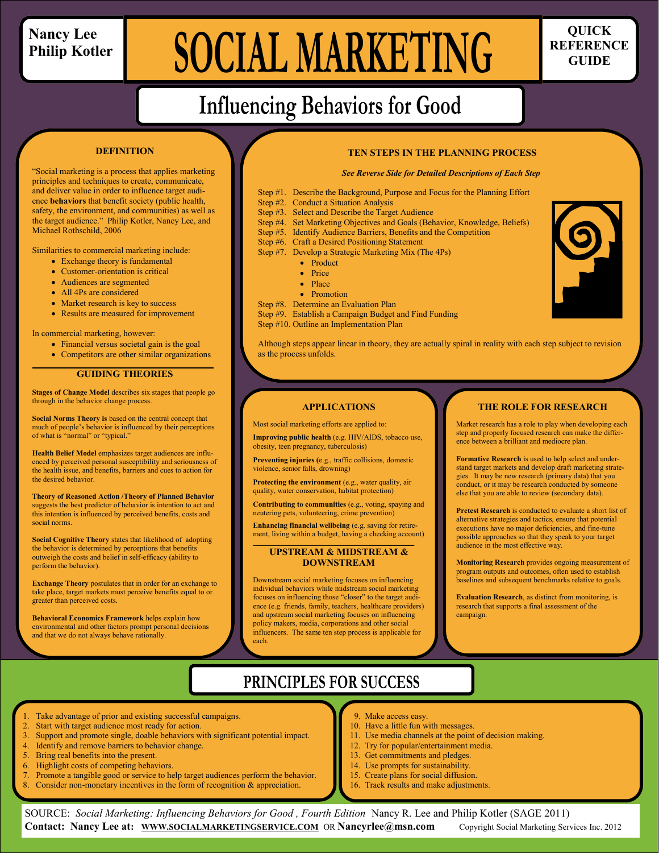### **Nancy Lee Philip Kotler**

Michael Rothschild, 2006

**DEFINITION**

"Social marketing is a process that applies marketing principles and techniques to create, communicate, and deliver value in order to influence target audience **behaviors** that benefit society (public health, safety, the environment, and communities) as well as the target audience." Philip Kotler, Nancy Lee, and

Similarities to commercial marketing include: Exchange theory is fundamental Customer-orientation is critical • Audiences are segmented All 4Ps are considered

> • Market research is key to success • Results are measured for improvement

 Financial versus societal gain is the goal Competitors are other similar organizations

**GUIDING THEORIES Stages of Change Model** describes six stages that people go

**Social Norms Theory is** based on the central concept that much of people's behavior is influenced by their perceptions

**Health Belief Model** emphasizes target audiences are influenced by perceived personal susceptibility and seriousness of the health issue, and benefits, barriers and cues to action for

**Theory of Reasoned Action /Theory of Planned Behavior**  suggests the best predictor of behavior is intention to act and this intention is influenced by perceived benefits, costs and

**Social Cognitive Theory** states that likelihood of adopting the behavior is determined by perceptions that benefits outweigh the costs and belief in self-efficacy (ability to

**Exchange Theory** postulates that in order for an exchange to take place, target markets must perceive benefits equal to or

**Behavioral Economics Framework** helps explain how environmental and other factors prompt personal decisions

and that we do not always behave rationally.

**\_\_\_\_\_\_\_**

In commercial marketing, however:

through in the behavior change process.

of what is "normal" or "typical."

the desired behavior.

perform the behavior).

greater than perceived costs.

social norms.

# **SOCIAL MARKETING** REFERENCE

**REFERENCE GUIDE**

# **Influencing Behaviors for Good**

#### **TEN STEPS IN THE PLANNING PROCESS**

*See Reverse Side for Detailed Descriptions of Each Step*

Step #1. Describe the Background, Purpose and Focus for the Planning Effort Step #2. Conduct a Situation Analysis Step #3. Select and Describe the Target Audience Step #4. Set Marketing Objectives and Goals (Behavior, Knowledge, Beliefs) Step #5. Identify Audience Barriers, Benefits and the Competition Step #6. Craft a Desired Positioning Statement Step #7. Develop a Strategic Marketing Mix (The 4Ps) • Product • Price • Place • Promotion Step #8. Determine an Evaluation Plan Step #9. Establish a Campaign Budget and Find Funding Step #10. Outline an Implementation Plan

Although steps appear linear in theory, they are actually spiral in reality with each step subject to revision as the process unfolds.

#### **APPLICATIONS**

Most social marketing efforts are applied to:

**Improving public health** (e.g. HIV/AIDS, tobacco use, obesity, teen pregnancy, tuberculosis)

 **Preventing injuries (**e.g., traffic collisions, domestic violence, senior falls, drowning)

Protecting the environment (e.g., water quality, air quality, water conservation, habitat protection)

**Contributing to communities** (e.g., voting, spaying and neutering pets, volunteering, crime prevention)

**Enhancing financial wellbeing** (e.g. saving for retirement, living within a budget, having a checking account)

**\_\_\_\_\_\_\_\_\_\_\_\_\_\_ UPSTREAM & MIDSTREAM &** 

### **DOWNSTREAM**

Downstream social marketing focuses on influencing individual behaviors while midstream social marketing focuses on influencing those "closer" to the target audience (e.g. friends, family, teachers, healthcare providers) and upstream social marketing focuses on influencing policy makers, media, corporations and other social influencers. The same ten step process is applicable for each.

### **THE ROLE FOR RESEARCH**

Market research has a role to play when developing each step and properly focused research can make the difference between a brilliant and mediocre plan.

**Formative Research** is used to help select and understand target markets and develop draft marketing strategies. It may be new research (primary data) that you conduct, or it may be research conducted by someone else that you are able to review (secondary data).

**Pretest Research** is conducted to evaluate a short list of alternative strategies and tactics, ensure that potential executions have no major deficiencies, and fine-tune possible approaches so that they speak to your target audience in the most effective way.

**Monitoring Research** provides ongoing measurement of program outputs and outcomes, often used to establish baselines and subsequent benchmarks relative to goals.

**Evaluation Research**, as distinct from monitoring, is research that supports a final assessment of the campaign.

### **PRINCIPLES FOR SUCCESS**

- Take advantage of prior and existing successful campaigns.
- Start with target audience most ready for action.
- 3. Support and promote single, doable behaviors with significant potential impact.
- 4. Identify and remove barriers to behavior change.
- 5. Bring real benefits into the present.
- Highlight costs of competing behaviors.
- Promote a tangible good or service to help target audiences perform the behavior.
- Consider non-monetary incentives in the form of recognition  $\&$  appreciation.
- Make access easy.
- 10. Have a little fun with messages.
- 11. Use media channels at the point of decision making.
- 12. Try for popular/entertainment media.
- 13. Get commitments and pledges. 14. Use prompts for sustainability.
- 15. Create plans for social diffusion.
- 16. Track results and make adjustments.

SOURCE: *Social Marketing: Influencing Behaviors for Good , Fourth Edition* Nancy R. Lee and Philip Kotler (SAGE 2011) **Contact: Nancy Lee at: [WWW.SOCIALMARKETINGSERVICE.COM](http://www.socialmarketingservice.com/)** OR **Nancyrlee@msn.com** Copyright Social Marketing Services Inc. 2012